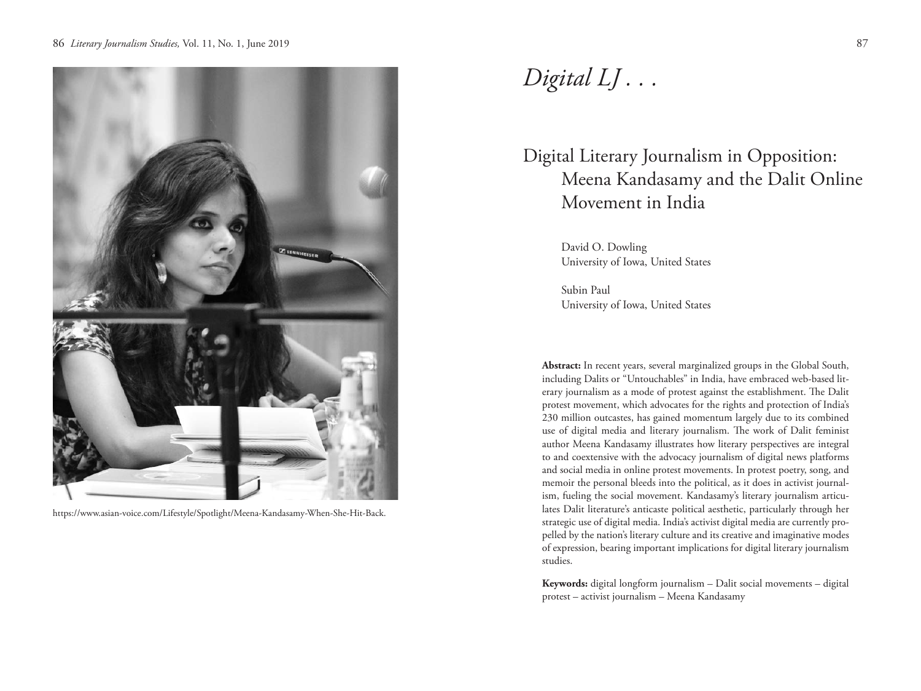

https://www.asian-voice.com/Lifestyle/Spotlight/Meena-Kandasamy-When-She-Hit-Back.

# *Digital LJ . . .*

# Digital Literary Journalism in Opposition: Meena Kandasamy and the Dalit Online Movement in India

David O. Dowling University of Iowa, United States

Subin Paul University of Iowa, United States

**Abstract:** In recent years, several marginalized groups in the Global South, including Dalits or "Untouchables" in India, have embraced web-based literary journalism as a mode of protest against the establishment. The Dalit protest movement, which advocates for the rights and protection of India's 230 million outcastes, has gained momentum largely due to its combined use of digital media and literary journalism. The work of Dalit feminist author Meena Kandasamy illustrates how literary perspectives are integral to and coextensive with the advocacy journalism of digital news platforms and social media in online protest movements. In protest poetry, song, and memoir the personal bleeds into the political, as it does in activist journalism, fueling the social movement. Kandasamy's literary journalism articulates Dalit literature's anticaste political aesthetic, particularly through her strategic use of digital media. India's activist digital media are currently propelled by the nation's literary culture and its creative and imaginative modes of expression, bearing important implications for digital literary journalism studies.

**Keywords:** digital longform journalism – Dalit social movements – digital protest – activist journalism – Meena Kandasamy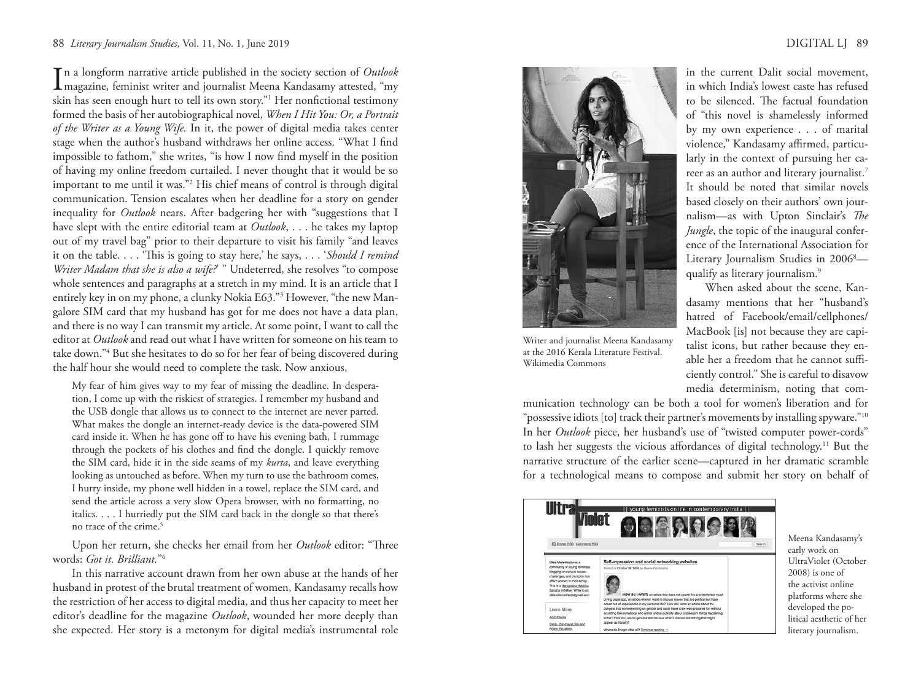## 88 *Literary Journalism Studies,* Vol. 11, No. 1, June 2019 DIGITAL LJ 89

In a longform narrative article published in the society section of *Outlook*<br>magazine, feminist writer and journalist Meena Kandasamy attested, "my n a longform narrative article published in the society section of *Outlook* skin has seen enough hurt to tell its own story."1 Her nonfictional testimony formed the basis of her autobiographical novel, *When I Hit You: Or, a Portrait of the Writer as a Young Wife.* In it, the power of digital media takes center stage when the author's husband withdraws her online access. "What I find impossible to fathom," she writes, "is how I now find myself in the position of having my online freedom curtailed. I never thought that it would be so important to me until it was."2 His chief means of control is through digital communication. Tension escalates when her deadline for a story on gender inequality for *Outlook* nears. After badgering her with "suggestions that I have slept with the entire editorial team at *Outlook*, . . . he takes my laptop out of my travel bag" prior to their departure to visit his family "and leaves it on the table. . . . 'This is going to stay here,' he says, . . . '*Should I remind Writer Madam that she is also a wife?* " Undeterred, she resolves "to compose whole sentences and paragraphs at a stretch in my mind. It is an article that I entirely key in on my phone, a clunky Nokia E63."3 However, "the new Mangalore SIM card that my husband has got for me does not have a data plan, and there is no way I can transmit my article. At some point, I want to call the editor at *Outlook* and read out what I have written for someone on his team to take down."4 But she hesitates to do so for her fear of being discovered during the half hour she would need to complete the task. Now anxious,

My fear of him gives way to my fear of missing the deadline. In desperation, I come up with the riskiest of strategies. I remember my husband and the USB dongle that allows us to connect to the internet are never parted. What makes the dongle an internet-ready device is the data-powered SIM card inside it. When he has gone off to have his evening bath, I rummage through the pockets of his clothes and find the dongle. I quickly remove the SIM card, hide it in the side seams of my *kurta*, and leave everything looking as untouched as before. When my turn to use the bathroom comes, I hurry inside, my phone well hidden in a towel, replace the SIM card, and send the article across a very slow Opera browser, with no formatting, no italics. . . . I hurriedly put the SIM card back in the dongle so that there's no trace of the crime.<sup>5</sup>

Upon her return, she checks her email from her *Outlook* editor: "Three words: *Got it. Brilliant.*"6

In this narrative account drawn from her own abuse at the hands of her husband in protest of the brutal treatment of women, Kandasamy recalls how the restriction of her access to digital media, and thus her capacity to meet her editor's deadline for the magazine *Outlook*, wounded her more deeply than she expected. Her story is a metonym for digital media's instrumental role



Writer and journalist Meena Kandasamy at the 2016 Kerala Literature Festival. Wikimedia Commons

in the current Dalit social movement, in which India's lowest caste has refused to be silenced. The factual foundation of "this novel is shamelessly informed by my own experience . . . of marital violence," Kandasamy affirmed, particularly in the context of pursuing her career as an author and literary journalist.7 It should be noted that similar novels based closely on their authors' own journalism—as with Upton Sinclair's *The Jungle*, the topic of the inaugural conference of the International Association for Literary Journalism Studies in 2006<sup>8</sup> qualify as literary journalism.9

When asked about the scene, Kandasamy mentions that her "husband's hatred of Facebook/email/cellphones/ MacBook [is] not because they are capitalist icons, but rather because they enable her a freedom that he cannot sufficiently control." She is careful to disavow media determinism, noting that com-

munication technology can be both a tool for women's liberation and for "possessive idiots [to] track their partner's movements by installing spyware."<sup>10</sup> In her *Outlook* piece, her husband's use of "twisted computer power-cords" to lash her suggests the vicious affordances of digital technology.11 But the narrative structure of the earlier scene—captured in her dramatic scramble for a technological means to compose and submit her story on behalf of



Meena Kandasamy's early work on UltraViolet (October 2008) is one of the activist online platforms where she developed the political aesthetic of her literary journalism.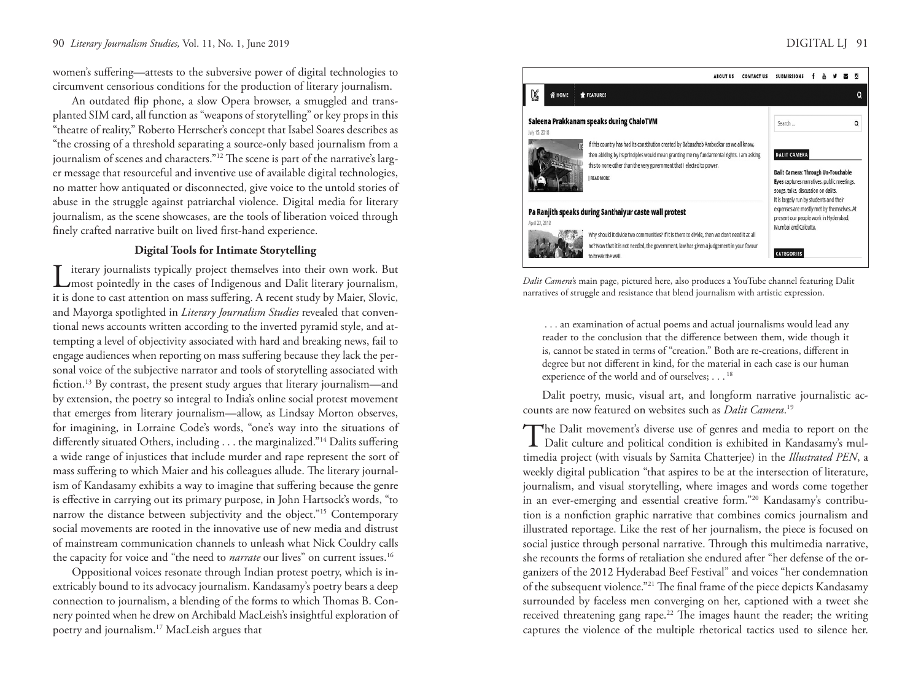### 90 *Literary Journalism Studies,* Vol. 11, No. 1, June 2019 DIGITAL LJ 91

women's suffering—attests to the subversive power of digital technologies to circumvent censorious conditions for the production of literary journalism.

An outdated flip phone, a slow Opera browser, a smuggled and transplanted SIM card, all function as "weapons of storytelling" or key props in this "theatre of reality," Roberto Herrscher's concept that Isabel Soares describes as "the crossing of a threshold separating a source-only based journalism from a journalism of scenes and characters."<sup>12</sup> The scene is part of the narrative's larger message that resourceful and inventive use of available digital technologies, no matter how antiquated or disconnected, give voice to the untold stories of abuse in the struggle against patriarchal violence. Digital media for literary journalism, as the scene showcases, are the tools of liberation voiced through finely crafted narrative built on lived first-hand experience.

# **Digital Tools for Intimate Storytelling**

Literary journalists typically project themselves into their own work. But  $\sum_{n=1}^{\infty}$  most pointedly in the cases of Indigenous and Dalit literary journalism, it is done to cast attention on mass suffering. A recent study by Maier, Slovic, and Mayorga spotlighted in *Literary Journalism Studies* revealed that conventional news accounts written according to the inverted pyramid style, and attempting a level of objectivity associated with hard and breaking news, fail to engage audiences when reporting on mass suffering because they lack the personal voice of the subjective narrator and tools of storytelling associated with fiction.13 By contrast, the present study argues that literary journalism—and by extension, the poetry so integral to India's online social protest movement that emerges from literary journalism—allow, as Lindsay Morton observes, for imagining, in Lorraine Code's words, "one's way into the situations of differently situated Others, including . . . the marginalized."14 Dalits suffering a wide range of injustices that include murder and rape represent the sort of mass suffering to which Maier and his colleagues allude. The literary journalism of Kandasamy exhibits a way to imagine that suffering because the genre is effective in carrying out its primary purpose, in John Hartsock's words, "to narrow the distance between subjectivity and the object."15 Contemporary social movements are rooted in the innovative use of new media and distrust of mainstream communication channels to unleash what Nick Couldry calls the capacity for voice and "the need to *narrate* our lives" on current issues.<sup>16</sup>

Oppositional voices resonate through Indian protest poetry, which is inextricably bound to its advocacy journalism. Kandasamy's poetry bears a deep connection to journalism, a blending of the forms to which Thomas B. Connery pointed when he drew on Archibald MacLeish's insightful exploration of poetry and journalism.17 MacLeish argues that



*Dalit Camera'*s main page, pictured here, also produces a YouTube channel featuring Dalit narratives of struggle and resistance that blend journalism with artistic expression.

 . . . an examination of actual poems and actual journalisms would lead any reader to the conclusion that the difference between them, wide though it is, cannot be stated in terms of "creation." Both are re-creations, different in degree but not different in kind, for the material in each case is our human experience of the world and of ourselves; . . . <sup>18</sup>

Dalit poetry, music, visual art, and longform narrative journalistic accounts are now featured on websites such as *Dalit Camera*. 19

The Dalit movement's diverse use of genres and media to report on the Dalit culture and political condition is exhibited in Kandasamy's multimedia project (with visuals by Samita Chatterjee) in the *Illustrated PEN*, a weekly digital publication "that aspires to be at the intersection of literature, journalism, and visual storytelling, where images and words come together in an ever-emerging and essential creative form."20 Kandasamy's contribution is a nonfiction graphic narrative that combines comics journalism and illustrated reportage. Like the rest of her journalism, the piece is focused on social justice through personal narrative. Through this multimedia narrative, she recounts the forms of retaliation she endured after "her defense of the organizers of the 2012 Hyderabad Beef Festival" and voices "her condemnation of the subsequent violence."21 The final frame of the piece depicts Kandasamy surrounded by faceless men converging on her, captioned with a tweet she received threatening gang rape.<sup>22</sup> The images haunt the reader; the writing captures the violence of the multiple rhetorical tactics used to silence her.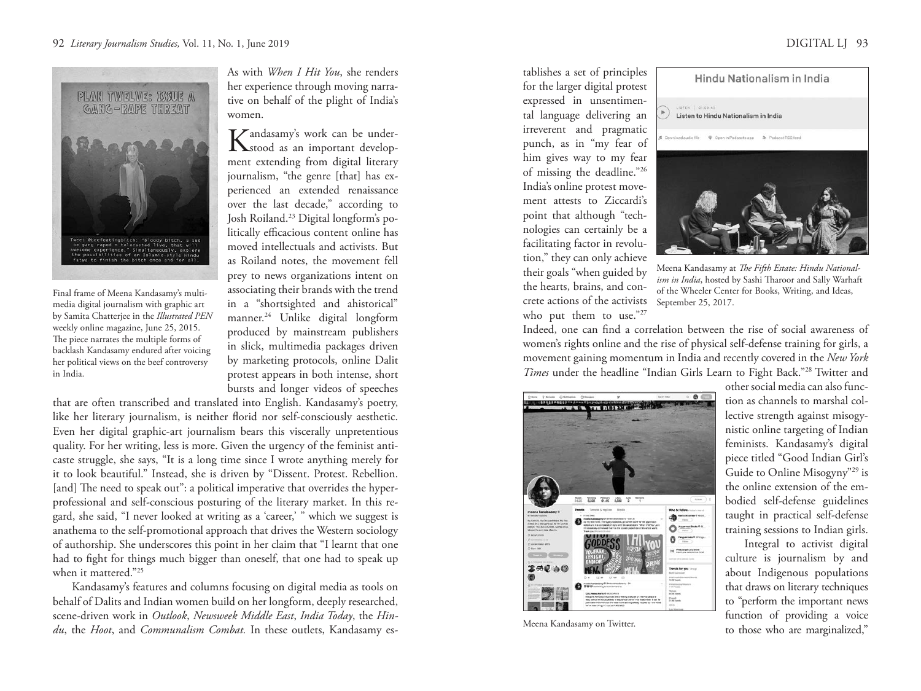

Final frame of Meena Kandasamy's multimedia digital journalism with graphic art by Samita Chatterjee in the *Illustrated PEN* weekly online magazine, June 25, 2015. The piece narrates the multiple forms of backlash Kandasamy endured after voicing her political views on the beef controversy in India.

As with *When I Hit You*, she renders her experience through moving narrative on behalf of the plight of India's women.

Kandasamy's work can be under-<br>
stood as an important development extending from digital literary journalism, "the genre [that] has experienced an extended renaissance over the last decade," according to Josh Roiland.23 Digital longform's politically efficacious content online has moved intellectuals and activists. But as Roiland notes, the movement fell prey to news organizations intent on associating their brands with the trend in a "shortsighted and ahistorical" manner.24 Unlike digital longform produced by mainstream publishers in slick, multimedia packages driven by marketing protocols, online Dalit protest appears in both intense, short bursts and longer videos of speeches

that are often transcribed and translated into English. Kandasamy's poetry, like her literary journalism, is neither florid nor self-consciously aesthetic. Even her digital graphic-art journalism bears this viscerally unpretentious quality. For her writing, less is more. Given the urgency of the feminist anticaste struggle, she says, "It is a long time since I wrote anything merely for it to look beautiful." Instead, she is driven by "Dissent. Protest. Rebellion. [and] The need to speak out": a political imperative that overrides the hyperprofessional and self-conscious posturing of the literary market. In this regard, she said, "I never looked at writing as a 'career,' " which we suggest is anathema to the self-promotional approach that drives the Western sociology of authorship. She underscores this point in her claim that "I learnt that one had to fight for things much bigger than oneself, that one had to speak up when it mattered."25

Kandasamy's features and columns focusing on digital media as tools on behalf of Dalits and Indian women build on her longform, deeply researched, scene-driven work in *Outlook*, *Newsweek Middle East*, *India Today*, the *Hindu*, the *Hoot*, and *Communalism Combat.* In these outlets, Kandasamy es-

tablishes a set of principles for the larger digital protest expressed in unsentimental language delivering an irreverent and pragmatic punch, as in "my fear of him gives way to my fear of missing the deadline."26 India's online protest movement attests to Ziccardi's point that although "technologies can certainly be a facilitating factor in revolution," they can only achieve their goals "when guided by the hearts, brains, and concrete actions of the activists who put them to use."27



Meena Kandasamy at *The Fifth Estate: Hindu Nationalism in India*, hosted by Sashi Tharoor and Sally Warhaft of the Wheeler Center for Books, Writing, and Ideas, September 25, 2017.

Indeed, one can find a correlation between the rise of social awareness of women's rights online and the rise of physical self-defense training for girls, a movement gaining momentum in India and recently covered in the *New York Times* under the headline "Indian Girls Learn to Fight Back."28 Twitter and



Meena Kandasamy on Twitter.

other social media can also function as channels to marshal collective strength against misogynistic online targeting of Indian feminists. Kandasamy's digital piece titled "Good Indian Girl's Guide to Online Misogyny"29 is the online extension of the embodied self-defense guidelines taught in practical self-defense training sessions to Indian girls.

Integral to activist digital culture is journalism by and about Indigenous populations that draws on literary techniques to "perform the important news function of providing a voice to those who are marginalized,"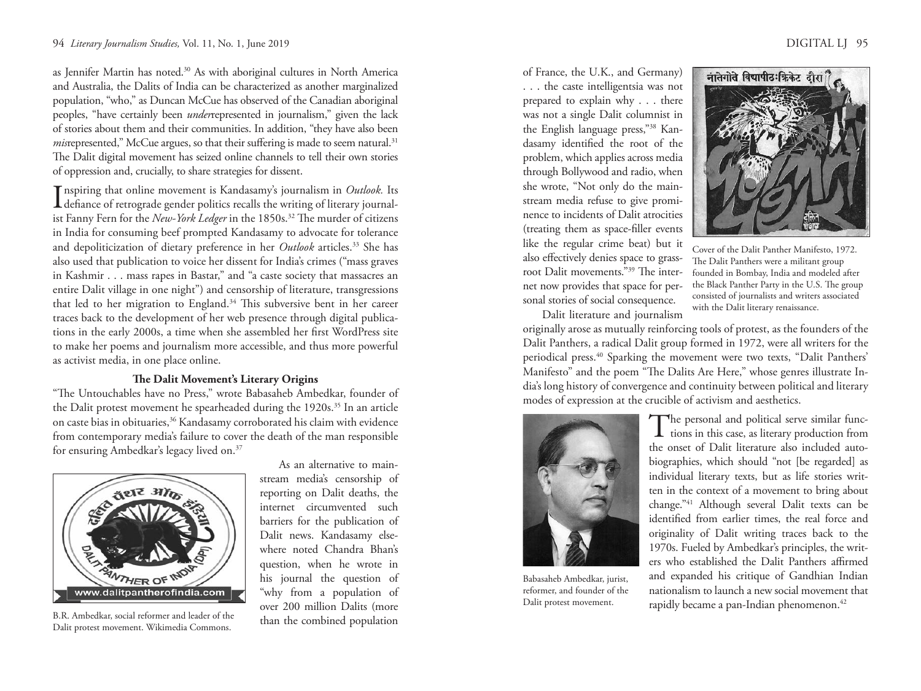as Jennifer Martin has noted.<sup>30</sup> As with aboriginal cultures in North America and Australia, the Dalits of India can be characterized as another marginalized population, "who," as Duncan McCue has observed of the Canadian aboriginal peoples, "have certainly been *under*represented in journalism," given the lack of stories about them and their communities. In addition, "they have also been *mis*represented," McCue argues, so that their suffering is made to seem natural.<sup>31</sup> The Dalit digital movement has seized online channels to tell their own stories of oppression and, crucially, to share strategies for dissent.

Inspiring that online movement is Kandasamy's journalism in *Outlook*. Its<br>defiance of retrograde gender politics recalls the writing of literary journalnspiring that online movement is Kandasamy's journalism in *Outlook.* Its ist Fanny Fern for the *New-York Ledger* in the 1850s.<sup>32</sup> The murder of citizens in India for consuming beef prompted Kandasamy to advocate for tolerance and depoliticization of dietary preference in her *Outlook* articles.<sup>33</sup> She has also used that publication to voice her dissent for India's crimes ("mass graves in Kashmir . . . mass rapes in Bastar," and "a caste society that massacres an entire Dalit village in one night") and censorship of literature, transgressions that led to her migration to England.34 This subversive bent in her career traces back to the development of her web presence through digital publications in the early 2000s, a time when she assembled her first WordPress site to make her poems and journalism more accessible, and thus more powerful as activist media, in one place online.

### **The Dalit Movement's Literary Origins**

"The Untouchables have no Press," wrote Babasaheb Ambedkar, founder of the Dalit protest movement he spearheaded during the 1920s.<sup>35</sup> In an article on caste bias in obituaries,<sup>36</sup> Kandasamy corroborated his claim with evidence from contemporary media's failure to cover the death of the man responsible for ensuring Ambedkar's legacy lived on.37



B.R. Ambedkar, social reformer and leader of the  $\frac{1}{2}$  than the combined population Dalit protest movement. Wikimedia Commons.

As an alternative to mainstream media's censorship of reporting on Dalit deaths, the internet circumvented such barriers for the publication of Dalit news. Kandasamy elsewhere noted Chandra Bhan's question, when he wrote in his journal the question of "why from a population of over 200 million Dalits (more

of France, the U.K., and Germany) . . . the caste intelligentsia was not prepared to explain why . . . there was not a single Dalit columnist in the English language press,"38 Kandasamy identified the root of the problem, which applies across media through Bollywood and radio, when she wrote, "Not only do the mainstream media refuse to give prominence to incidents of Dalit atrocities (treating them as space-filler events like the regular crime beat) but it also effectively denies space to grassroot Dalit movements."39 The internet now provides that space for personal stories of social consequence. Dalit literature and journalism



Cover of the Dalit Panther Manifesto, 1972. The Dalit Panthers were a militant group founded in Bombay, India and modeled after the Black Panther Party in the U.S. The group consisted of journalists and writers associated with the Dalit literary renaissance.

originally arose as mutually reinforcing tools of protest, as the founders of the Dalit Panthers, a radical Dalit group formed in 1972, were all writers for the periodical press.<sup>40</sup> Sparking the movement were two texts, "Dalit Panthers' Manifesto" and the poem "The Dalits Are Here," whose genres illustrate India's long history of convergence and continuity between political and literary modes of expression at the crucible of activism and aesthetics.



Babasaheb Ambedkar, jurist, reformer, and founder of the Dalit protest movement.

The personal and political serve similar func- $\perp$  tions in this case, as literary production from the onset of Dalit literature also included autobiographies, which should "not [be regarded] as individual literary texts, but as life stories written in the context of a movement to bring about change."41 Although several Dalit texts can be identified from earlier times, the real force and originality of Dalit writing traces back to the 1970s. Fueled by Ambedkar's principles, the writers who established the Dalit Panthers affirmed and expanded his critique of Gandhian Indian nationalism to launch a new social movement that rapidly became a pan-Indian phenomenon.<sup>42</sup>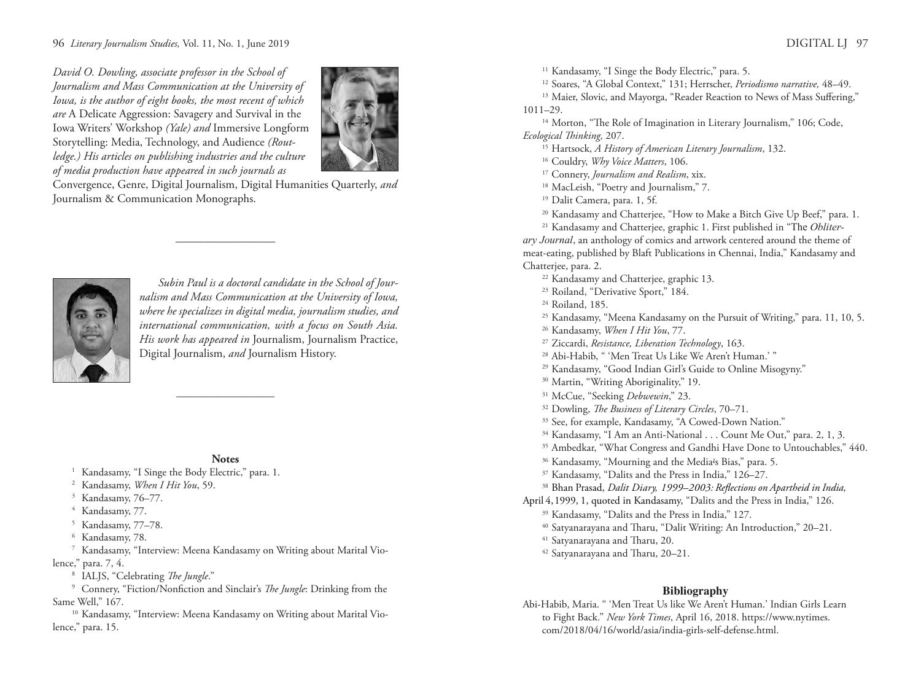*David O. Dowling, associate professor in the School of Journalism and Mass Communication at the University of Iowa, is the author of eight books, the most recent of which are* A Delicate Aggression: Savagery and Survival in the Iowa Writers' Workshop *(Yale) and* Immersive Longform Storytelling: Media, Technology, and Audience *(Routledge.) His articles on publishing industries and the culture of media production have appeared in such journals as*



Convergence, Genre, Digital Journalism, Digital Humanities Quarterly, *and* Journalism & Communication Monographs.

–––––––––––––––––



*Subin Paul is a doctoral candidate in the School of Journalism and Mass Communication at the University of Iowa, where he specializes in digital media, journalism studies, and international communication, with a focus on South Asia. His work has appeared in* Journalism, Journalism Practice, Digital Journalism, *and* Journalism History.

# **Notes**

 $\frac{1}{\sqrt{2\pi}}$ 

1 Kandasamy, "I Singe the Body Electric," para. 1.<br>
<sup>2</sup> Kandasamy, *When I Hit You*, 59.<br>
<sup>3</sup> Kandasamy, 76–77.<br>
<sup>4</sup> Kandasamy, 77.

- 
- 
- 
- <sup>5</sup> Kandasamy, 77–78.
- 

 $6$  Kandasamy, 78.<br>7 Kandasamy, "Interview: Meena Kandasamy on Writing about Marital Violence," para. 7, 4. 8 IALJS, "Celebrating *The Jungle*." 9 Connery, "Fiction/Nonfiction and Sinclair's *The Jungle*: Drinking from the

Same Well," 167.<br><sup>10</sup> Kandasamy, "Interview: Meena Kandasamy on Writing about Marital Vio-

lence," para. 15.

<sup>11</sup> Kandasamy, "I Singe the Body Electric," para. 5.<br><sup>12</sup> Soares, "A Global Context," 131; Herrscher, *Periodismo narrative*, 48–49.<br><sup>13</sup> Maier, Slovic, and Mayorga, "Reader Reaction to News of Mass Suffering,"

1011–29. 14 Morton, "The Role of Imagination in Literary Journalism," 106; Code,

Ecological Thinking, 207.<br><sup>15</sup> Hartsock, *A History of American Literary Journalism*, 132.<br><sup>16</sup> Couldry, *Why Voice Matters*, 106.<br><sup>17</sup> Connery, *Journalism and Realism*, xix.<br><sup>18</sup> MacLeish, "Poetry and Journalism," 7.<br><sup>19</sup>

- 
- 
- 
- 
- 
- <sup>20</sup> Kandasamy and Chatterjee, "How to Make a Bitch Give Up Beef," para. 1.
- <sup>21</sup> Kandasamy and Chatterjee, graphic 1. First published in "The *Obliterary Journal*, an anthology of comics and artwork centered around the theme of

meat-eating, published by Blaft Publications in Chennai, India," Kandasamy and Chatterjee, para. 2.<br>
<sup>22</sup> Kandasamy and Chatterjee, graphic 13.<br>
<sup>23</sup> Roiland, "Derivative Sport," 184.<br>
<sup>24</sup> Roiland, 185.<br>
<sup>25</sup> Kandasamy, "Meena Kandasamy on the Pursuit of Writing," para. 11, 10, 5.<br>
<sup>26</sup> Kandasamy,

- 
- 
- 
- 
- 
- 
- 
- 
- 
- <sup>31</sup> McCue, "Seeking *Debwewin*," 23.
- 
- 
- <sup>32</sup> Dowling, *The Business of Literary Circles*, 70–71.<br><sup>33</sup> See, for example, Kandasamy, "A Cowed-Down Nation."<br><sup>34</sup> Kandasamy, "I Am an Anti-National . . . Count Me Out," para. 2, 1, 3.<br><sup>35</sup> Ambedkar, "What Congress an
- 
- <sup>36</sup> Kandasamy, "Mourning and the Media<sup>i</sup>s Bias," para. 5.
- 
- <sup>37</sup> Kandasamy, "Dalits and the Press in India," 126–27.<br><sup>38</sup> Bhan Prasad, *Dalit Diary, 1999–2003: Reflections on Apartheid in India,*

April 4, 1999, 1, quoted in Kandasamy, "Dalits and the Press in India," 126.<br><sup>39</sup> Kandasamy, "Dalits and the Press in India," 127.

- 
- <sup>40</sup> Satyanarayana and Tharu, "Dalit Writing: An Introduction," 20–21.<br><sup>41</sup> Satyanarayana and Tharu, 20.
- 
- <sup>42</sup> Satyanarayana and Tharu, 20–21.

### **Bibliography**

Abi-Habib, Maria. " 'Men Treat Us like We Aren't Human.' Indian Girls Learn to Fight Back." *New York Times*, April 16, 2018. https://www.nytimes. com/2018/04/16/world/asia/india-girls-self-defense.html.